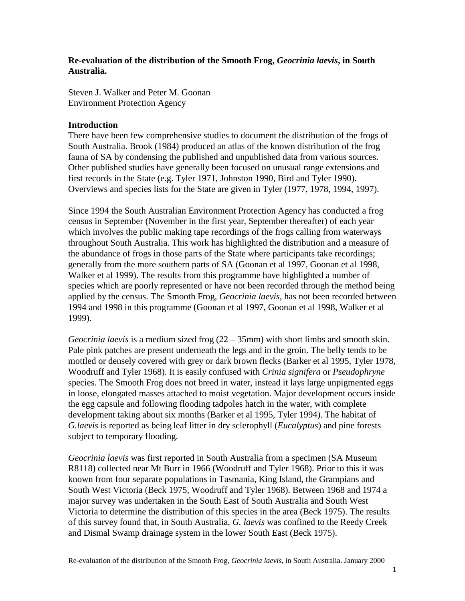# **Re-evaluation of the distribution of the Smooth Frog,** *Geocrinia laevis***, in South Australia.**

Steven J. Walker and Peter M. Goonan Environment Protection Agency

### **Introduction**

There have been few comprehensive studies to document the distribution of the frogs of South Australia. Brook (1984) produced an atlas of the known distribution of the frog fauna of SA by condensing the published and unpublished data from various sources. Other published studies have generally been focused on unusual range extensions and first records in the State (e.g. Tyler 1971, Johnston 1990, Bird and Tyler 1990). Overviews and species lists for the State are given in Tyler (1977, 1978, 1994, 1997).

Since 1994 the South Australian Environment Protection Agency has conducted a frog census in September (November in the first year, September thereafter) of each year which involves the public making tape recordings of the frogs calling from waterways throughout South Australia. This work has highlighted the distribution and a measure of the abundance of frogs in those parts of the State where participants take recordings; generally from the more southern parts of SA (Goonan et al 1997, Goonan et al 1998, Walker et al 1999). The results from this programme have highlighted a number of species which are poorly represented or have not been recorded through the method being applied by the census. The Smooth Frog, *Geocrinia laevis,* has not been recorded between 1994 and 1998 in this programme (Goonan et al 1997, Goonan et al 1998, Walker et al 1999).

*Geocrinia laevis* is a medium sized frog (22 – 35mm) with short limbs and smooth skin. Pale pink patches are present underneath the legs and in the groin. The belly tends to be mottled or densely covered with grey or dark brown flecks (Barker et al 1995, Tyler 1978, Woodruff and Tyler 1968). It is easily confused with *Crinia signifera* or *Pseudophryne* species. The Smooth Frog does not breed in water, instead it lays large unpigmented eggs in loose, elongated masses attached to moist vegetation. Major development occurs inside the egg capsule and following flooding tadpoles hatch in the water, with complete development taking about six months (Barker et al 1995, Tyler 1994). The habitat of *G.laevis* is reported as being leaf litter in dry sclerophyll (*Eucalyptus*) and pine forests subject to temporary flooding.

*Geocrinia laevis* was first reported in South Australia from a specimen (SA Museum R8118) collected near Mt Burr in 1966 (Woodruff and Tyler 1968). Prior to this it was known from four separate populations in Tasmania, King Island, the Grampians and South West Victoria (Beck 1975, Woodruff and Tyler 1968). Between 1968 and 1974 a major survey was undertaken in the South East of South Australia and South West Victoria to determine the distribution of this species in the area (Beck 1975). The results of this survey found that, in South Australia, *G. laevis* was confined to the Reedy Creek and Dismal Swamp drainage system in the lower South East (Beck 1975).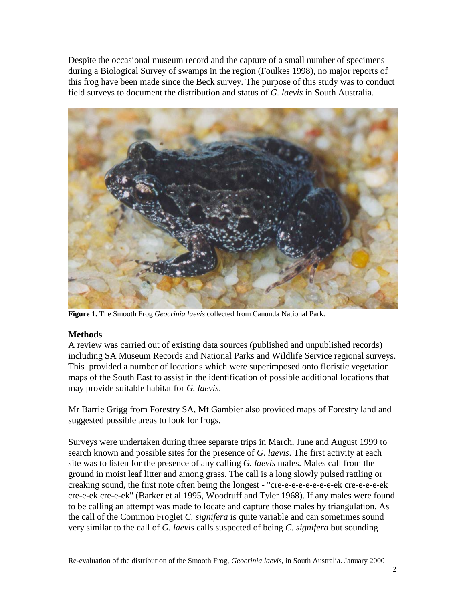Despite the occasional museum record and the capture of a small number of specimens during a Biological Survey of swamps in the region (Foulkes 1998), no major reports of this frog have been made since the Beck survey. The purpose of this study was to conduct field surveys to document the distribution and status of *G. laevis* in South Australia*.*



**Figure 1.** The Smooth Frog *Geocrinia laevis* collected from Canunda National Park.

# **Methods**

A review was carried out of existing data sources (published and unpublished records) including SA Museum Records and National Parks and Wildlife Service regional surveys. This provided a number of locations which were superimposed onto floristic vegetation maps of the South East to assist in the identification of possible additional locations that may provide suitable habitat for *G. laevis*.

Mr Barrie Grigg from Forestry SA, Mt Gambier also provided maps of Forestry land and suggested possible areas to look for frogs.

Surveys were undertaken during three separate trips in March, June and August 1999 to search known and possible sites for the presence of *G. laevis*. The first activity at each site was to listen for the presence of any calling *G. laevis* males. Males call from the ground in moist leaf litter and among grass. The call is a long slowly pulsed rattling or creaking sound, the first note often being the longest - "cre-e-e-e-e-e-e-e-ek cre-e-e-e-ek cre-e-ek cre-e-ek" (Barker et al 1995, Woodruff and Tyler 1968). If any males were found to be calling an attempt was made to locate and capture those males by triangulation. As the call of the Common Froglet *C. signifera* is quite variable and can sometimes sound very similar to the call of *G. laevis* calls suspected of being *C. signifera* but sounding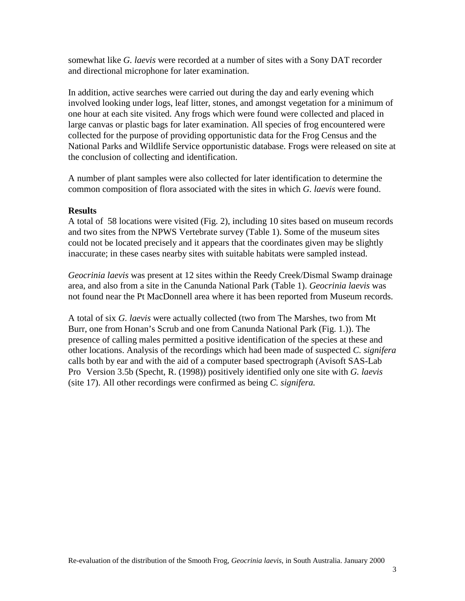somewhat like *G. laevis* were recorded at a number of sites with a Sony DAT recorder and directional microphone for later examination.

In addition, active searches were carried out during the day and early evening which involved looking under logs, leaf litter, stones, and amongst vegetation for a minimum of one hour at each site visited. Any frogs which were found were collected and placed in large canvas or plastic bags for later examination. All species of frog encountered were collected for the purpose of providing opportunistic data for the Frog Census and the National Parks and Wildlife Service opportunistic database. Frogs were released on site at the conclusion of collecting and identification.

A number of plant samples were also collected for later identification to determine the common composition of flora associated with the sites in which *G. laevis* were found.

### **Results**

A total of 58 locations were visited (Fig. 2), including 10 sites based on museum records and two sites from the NPWS Vertebrate survey (Table 1). Some of the museum sites could not be located precisely and it appears that the coordinates given may be slightly inaccurate; in these cases nearby sites with suitable habitats were sampled instead.

*Geocrinia laevis* was present at 12 sites within the Reedy Creek/Dismal Swamp drainage area, and also from a site in the Canunda National Park (Table 1). *Geocrinia laevis* was not found near the Pt MacDonnell area where it has been reported from Museum records.

A total of six *G. laevis* were actually collected (two from The Marshes, two from Mt Burr, one from Honan's Scrub and one from Canunda National Park (Fig. 1.)). The presence of calling males permitted a positive identification of the species at these and other locations. Analysis of the recordings which had been made of suspected *C. signifera* calls both by ear and with the aid of a computer based spectrograph (Avisoft SAS-Lab Pro Version 3.5b (Specht, R. (1998)) positively identified only one site with *G. laevis* (site 17). All other recordings were confirmed as being *C. signifera.*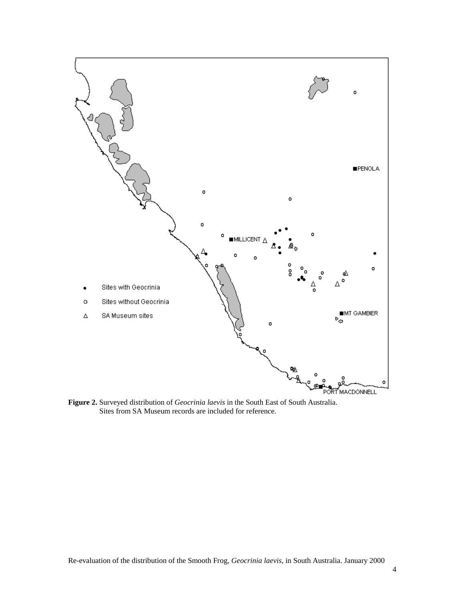

**Figure 2.** Surveyed distribution of *Geocrinia laevis* in the South East of South Australia. Sites from SA Museum records are included for reference.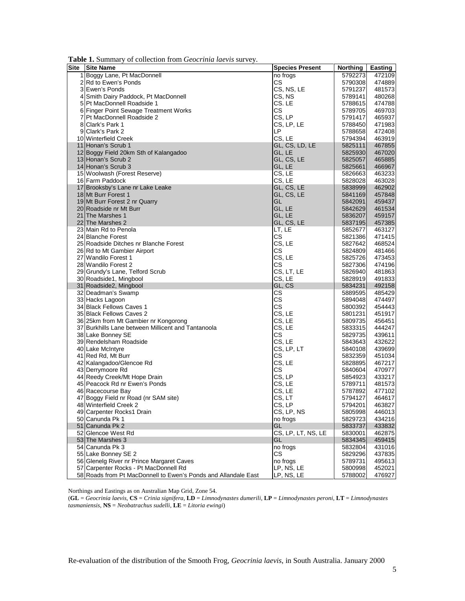| <b>Table 1.</b> Summary of concentration from Geocrania taevas survey. |                        |          |         |
|------------------------------------------------------------------------|------------------------|----------|---------|
| Site Site Name                                                         | <b>Species Present</b> | Northing | Easting |
| 1 Boggy Lane, Pt MacDonnell                                            | no frogs               | 5792273  | 472109  |
| 2 Rd to Ewen's Ponds                                                   | СS                     | 5790308  | 474889  |
| 3 Ewen's Ponds                                                         | CS, NS, LE             | 5791237  | 481573  |
| 4 Smith Dairy Paddock, Pt MacDonnell                                   | CS, NS                 | 5789141  | 480268  |
| 5 Pt MacDonnell Roadside 1                                             | CS.LE                  | 5788615  | 474788  |
| 6 Finger Point Sewage Treatment Works                                  | СS                     | 5789705  | 469703  |
| 7 Pt MacDonnell Roadside 2                                             | CS, LP                 | 5791417  | 465937  |
| 8 Clark's Park 1                                                       | CS, LP, LE             | 5788450  | 471983  |
| 9 Clark's Park 2                                                       | LP                     | 5788658  | 472408  |
| 10 Winterfield Creek                                                   | CS, LE                 | 5794394  | 463919  |
| 11 Honan's Scrub 1                                                     | GL, CS, LD, LE         | 5825111  | 467855  |
| 12 Boggy Field 20km Sth of Kalangadoo                                  | GL, LE                 | 5825930  | 467020  |
| 13 Honan's Scrub 2                                                     | GL, CS, LE             | 5825057  | 465885  |
| 14 Honan's Scrub 3                                                     | GL, LE                 | 5825661  | 466967  |
| 15 Woolwash (Forest Reserve)                                           | CS, LE                 | 5826663  | 463233  |
| 16 Farm Paddock                                                        | CS, LE                 | 5828028  | 463028  |
| 17 Brooksby's Lane nr Lake Leake                                       | GL, CS, LE             | 5838999  | 462902  |
| 18 Mt Burr Forest 1                                                    | GL, CS, LE             | 5841169  | 457848  |
| 19 Mt Burr Forest 2 nr Quarry                                          | GL                     | 5842091  | 459437  |
| 20 Roadside nr Mt Burr                                                 | GL, LE                 | 5842629  | 461534  |
| 21 The Marshes 1                                                       | GL, LE                 | 5836207  | 459157  |
| 22 The Marshes 2                                                       | GL, CS, LE             | 5837195  | 457385  |
| 23 Main Rd to Penola                                                   | LT, LE                 | 5852677  | 463127  |
| 24 Blanche Forest                                                      | $\mathsf{CS}\xspace$   | 5821386  | 471415  |
| 25 Roadside Ditches nr Blanche Forest                                  | CS, LE                 | 5827642  | 468524  |
| 26 Rd to Mt Gambier Airport                                            | CS.                    | 5824809  | 481466  |
| 27 Wandilo Forest 1                                                    | CS, LE                 | 5825726  | 473453  |
| 28 Wandilo Forest 2                                                    | СS                     | 5827306  | 474196  |
| 29 Grundy's Lane, Telford Scrub                                        | CS, LT, LE             | 5826940  | 481863  |
| 30 Roadside1, Mingbool                                                 | CS, LE                 | 5828919  | 491833  |
| 31 Roadside2, Mingbool                                                 | GL, CS                 | 5834231  | 492158  |
| 32 Deadman's Swamp                                                     | CS                     | 5889595  | 485429  |
| 33 Hacks Lagoon                                                        | CS                     | 5894048  | 474497  |
| 34 Black Fellows Caves 1                                               | CS                     | 5800392  | 454443  |
| 35 Black Fellows Caves 2                                               | CS, LE                 | 5801231  | 451917  |
| 36 25km from Mt Gambier nr Kongorong                                   | CS, LE                 | 5809735  | 456451  |
| 37 Burkhills Lane between Millicent and Tantanoola                     | CS, LE                 | 5833315  | 444247  |
| 38 Lake Bonney SE                                                      | CS                     | 5829735  | 439611  |
| 39 Rendelsham Roadside                                                 | CS, LE                 | 5843643  | 432622  |
| 40 Lake McIntyre                                                       | CS, LP, LT             | 5840108  | 439699  |
| 41 Red Rd, Mt Burr                                                     | СS                     | 5832359  | 451034  |
| 42 Kalangadoo/Glencoe Rd                                               | CS, LE                 | 5828895  | 467217  |
| 43 Derrymoore Rd                                                       | CS.                    | 5840604  | 470977  |
| 44 Reedy Creek/Mt Hope Drain                                           | CS, LP                 | 5854923  | 433217  |
| 45 Peacock Rd nr Ewen's Ponds                                          | CS, LE                 | 5789711  | 481573  |
| 46 Racecourse Bay                                                      | CS, LE                 | 5787892  | 477102  |
| 47 Boggy Field nr Road (nr SAM site)                                   | CS, LT                 | 5794127  | 464617  |
| 48 Winterfield Creek 2                                                 | CS, LP                 | 5794201  | 463827  |
| 49 Carpenter Rocks1 Drain                                              | CS, LP, NS             | 5805998  | 446013  |
| 50 Canunda Pk 1                                                        | no frogs               | 5829723  | 434216  |
| 51 Canunda Pk 2                                                        | GL                     | 5833737  | 433832  |
| 52 Glencoe West Rd                                                     | CS, LP, LT, NS, LE     | 5830001  | 462875  |
| 53 The Marshes 3                                                       | GL                     | 5834345  | 459415  |
| 54 Canunda Pk 3                                                        | no frogs               | 5832804  | 431016  |
| 55 Lake Bonney SE 2                                                    | <b>CS</b>              | 5829296  | 437835  |
| 56 Glenelg River nr Prince Margaret Caves                              | no frogs               | 5789731  | 495613  |
| 57 Carpenter Rocks - Pt MacDonnell Rd                                  | LP, NS, LE             | 5800998  | 452021  |
| 58 Roads from Pt MacDonnell to Ewen's Ponds and Allandale East         | LP, NS, LE             | 5788002  | 476927  |

**Table 1.** Summary of collection from *Geocrinia laevis* survey.

Northings and Eastings as on Australian Map Grid, Zone 54.

(**GL** = *Geocrinia laevis*, **CS** = *Crinia signifera*, **LD** = *Limnodynastes dumerili*, **LP** = *Limnodynastes peroni*, **LT** = *Limnodynastes tasmaniensis*, **NS** = *Neobatrachus sudelli*, **LE** = *Litoria ewingi*)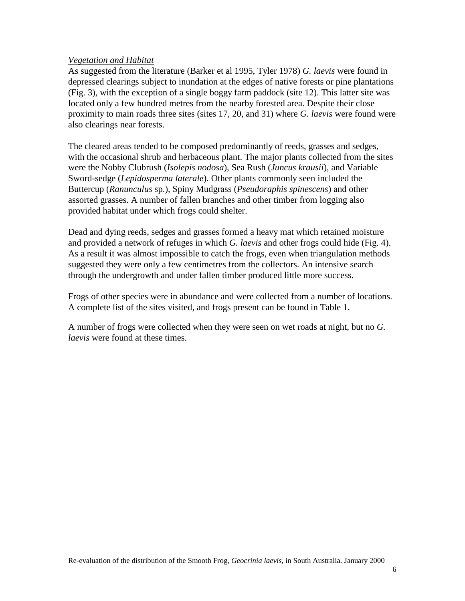### *Vegetation and Habitat*

As suggested from the literature (Barker et al 1995, Tyler 1978) *G. laevis* were found in depressed clearings subject to inundation at the edges of native forests or pine plantations (Fig. 3), with the exception of a single boggy farm paddock (site 12). This latter site was located only a few hundred metres from the nearby forested area. Despite their close proximity to main roads three sites (sites 17, 20, and 31) where *G. laevis* were found were also clearings near forests.

The cleared areas tended to be composed predominantly of reeds, grasses and sedges, with the occasional shrub and herbaceous plant. The major plants collected from the sites were the Nobby Clubrush (*Isolepis nodosa*), Sea Rush (*Juncus krausii*), and Variable Sword-sedge (*Lepidosperma laterale*). Other plants commonly seen included the Buttercup (*Ranunculus* sp.), Spiny Mudgrass (*Pseudoraphis spinescens*) and other assorted grasses. A number of fallen branches and other timber from logging also provided habitat under which frogs could shelter.

Dead and dying reeds, sedges and grasses formed a heavy mat which retained moisture and provided a network of refuges in which *G. laevis* and other frogs could hide (Fig. 4). As a result it was almost impossible to catch the frogs, even when triangulation methods suggested they were only a few centimetres from the collectors. An intensive search through the undergrowth and under fallen timber produced little more success.

Frogs of other species were in abundance and were collected from a number of locations. A complete list of the sites visited, and frogs present can be found in Table 1.

A number of frogs were collected when they were seen on wet roads at night, but no *G. laevis* were found at these times.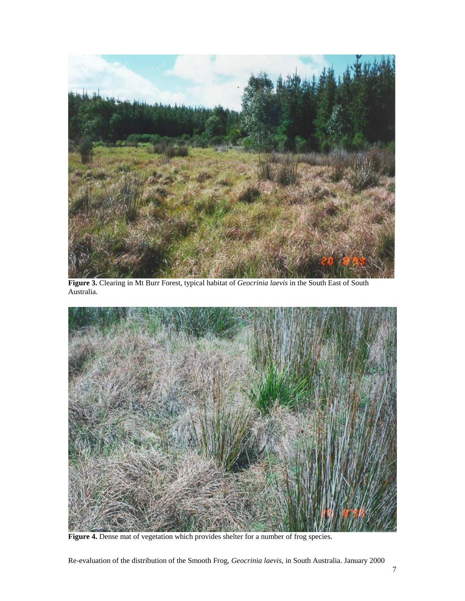

**Figure 3.** Clearing in Mt Burr Forest, typical habitat of *Geocrinia laevis* in the South East of South Australia*.*



Figure 4. Dense mat of vegetation which provides shelter for a number of frog species.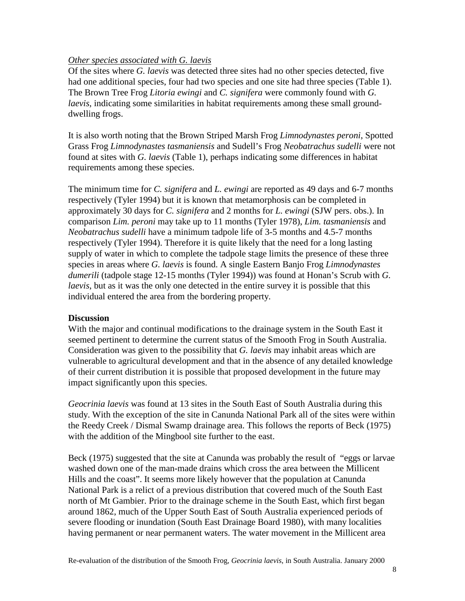## *Other species associated with G. laevis*

Of the sites where *G. laevis* was detected three sites had no other species detected, five had one additional species, four had two species and one site had three species (Table 1). The Brown Tree Frog *Litoria ewingi* and *C. signifera* were commonly found with *G. laevis*, indicating some similarities in habitat requirements among these small grounddwelling frogs.

It is also worth noting that the Brown Striped Marsh Frog *Limnodynastes peroni*, Spotted Grass Frog *Limnodynastes tasmaniensis* and Sudell's Frog *Neobatrachus sudelli* were not found at sites with *G. laevis* (Table 1), perhaps indicating some differences in habitat requirements among these species.

The minimum time for *C. signifera* and *L. ewingi* are reported as 49 days and 6-7 months respectively (Tyler 1994) but it is known that metamorphosis can be completed in approximately 30 days for *C. signifera* and 2 months for *L. ewingi* (SJW pers. obs.). In comparison *Lim. peroni* may take up to 11 months (Tyler 1978), *Lim. tasmaniensis* and *Neobatrachus sudelli* have a minimum tadpole life of 3-5 months and 4.5-7 months respectively (Tyler 1994). Therefore it is quite likely that the need for a long lasting supply of water in which to complete the tadpole stage limits the presence of these three species in areas where *G. laevis* is found. A single Eastern Banjo Frog *Limnodynastes dumerili* (tadpole stage 12-15 months (Tyler 1994)) was found at Honan's Scrub with *G. laevis*, but as it was the only one detected in the entire survey it is possible that this individual entered the area from the bordering property.

### **Discussion**

With the major and continual modifications to the drainage system in the South East it seemed pertinent to determine the current status of the Smooth Frog in South Australia. Consideration was given to the possibility that *G. laevis* may inhabit areas which are vulnerable to agricultural development and that in the absence of any detailed knowledge of their current distribution it is possible that proposed development in the future may impact significantly upon this species.

*Geocrinia laevis* was found at 13 sites in the South East of South Australia during this study. With the exception of the site in Canunda National Park all of the sites were within the Reedy Creek / Dismal Swamp drainage area. This follows the reports of Beck (1975) with the addition of the Mingbool site further to the east.

Beck (1975) suggested that the site at Canunda was probably the result of "eggs or larvae washed down one of the man-made drains which cross the area between the Millicent Hills and the coast". It seems more likely however that the population at Canunda National Park is a relict of a previous distribution that covered much of the South East north of Mt Gambier. Prior to the drainage scheme in the South East, which first began around 1862, much of the Upper South East of South Australia experienced periods of severe flooding or inundation (South East Drainage Board 1980), with many localities having permanent or near permanent waters. The water movement in the Millicent area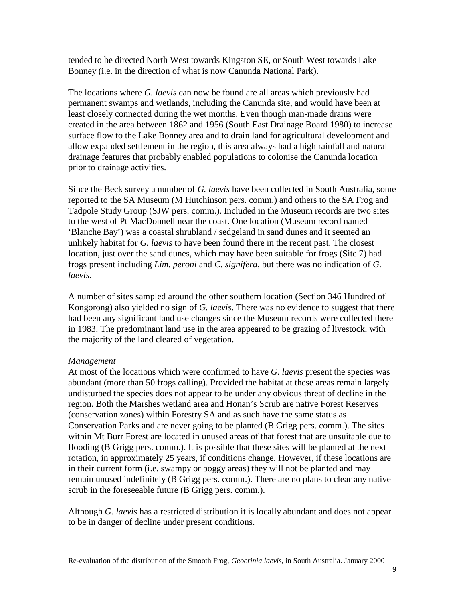tended to be directed North West towards Kingston SE, or South West towards Lake Bonney (i.e. in the direction of what is now Canunda National Park).

The locations where *G. laevis* can now be found are all areas which previously had permanent swamps and wetlands, including the Canunda site, and would have been at least closely connected during the wet months. Even though man-made drains were created in the area between 1862 and 1956 (South East Drainage Board 1980) to increase surface flow to the Lake Bonney area and to drain land for agricultural development and allow expanded settlement in the region, this area always had a high rainfall and natural drainage features that probably enabled populations to colonise the Canunda location prior to drainage activities.

Since the Beck survey a number of *G. laevis* have been collected in South Australia, some reported to the SA Museum (M Hutchinson pers. comm.) and others to the SA Frog and Tadpole Study Group (SJW pers. comm.). Included in the Museum records are two sites to the west of Pt MacDonnell near the coast. One location (Museum record named 'Blanche Bay') was a coastal shrubland / sedgeland in sand dunes and it seemed an unlikely habitat for *G. laevis* to have been found there in the recent past. The closest location, just over the sand dunes, which may have been suitable for frogs (Site 7) had frogs present including *Lim. peroni* and *C. signifera*, but there was no indication of *G. laevis*.

A number of sites sampled around the other southern location (Section 346 Hundred of Kongorong) also yielded no sign of *G. laevis*. There was no evidence to suggest that there had been any significant land use changes since the Museum records were collected there in 1983. The predominant land use in the area appeared to be grazing of livestock, with the majority of the land cleared of vegetation.

### *Management*

At most of the locations which were confirmed to have *G. laevis* present the species was abundant (more than 50 frogs calling). Provided the habitat at these areas remain largely undisturbed the species does not appear to be under any obvious threat of decline in the region. Both the Marshes wetland area and Honan's Scrub are native Forest Reserves (conservation zones) within Forestry SA and as such have the same status as Conservation Parks and are never going to be planted (B Grigg pers. comm.). The sites within Mt Burr Forest are located in unused areas of that forest that are unsuitable due to flooding (B Grigg pers. comm.). It is possible that these sites will be planted at the next rotation, in approximately 25 years, if conditions change. However, if these locations are in their current form (i.e. swampy or boggy areas) they will not be planted and may remain unused indefinitely (B Grigg pers. comm.). There are no plans to clear any native scrub in the foreseeable future (B Grigg pers. comm.).

Although *G. laevis* has a restricted distribution it is locally abundant and does not appear to be in danger of decline under present conditions.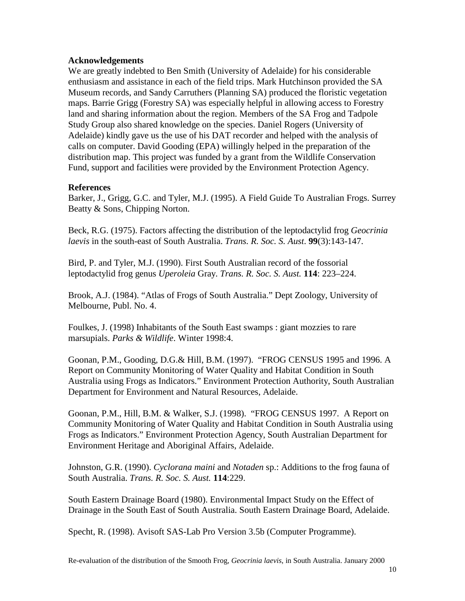### **Acknowledgements**

We are greatly indebted to Ben Smith (University of Adelaide) for his considerable enthusiasm and assistance in each of the field trips. Mark Hutchinson provided the SA Museum records, and Sandy Carruthers (Planning SA) produced the floristic vegetation maps. Barrie Grigg (Forestry SA) was especially helpful in allowing access to Forestry land and sharing information about the region. Members of the SA Frog and Tadpole Study Group also shared knowledge on the species. Daniel Rogers (University of Adelaide) kindly gave us the use of his DAT recorder and helped with the analysis of calls on computer. David Gooding (EPA) willingly helped in the preparation of the distribution map. This project was funded by a grant from the Wildlife Conservation Fund, support and facilities were provided by the Environment Protection Agency.

### **References**

Barker, J., Grigg, G.C. and Tyler, M.J. (1995). A Field Guide To Australian Frogs. Surrey Beatty & Sons, Chipping Norton.

Beck, R.G. (1975). Factors affecting the distribution of the leptodactylid frog *Geocrinia laevis* in the south-east of South Australia. *Trans. R. Soc. S. Aust*. **99**(3):143-147.

Bird, P. and Tyler, M.J. (1990). First South Australian record of the fossorial leptodactylid frog genus *Uperoleia* Gray. *Trans. R. Soc. S. Aust.* **114**: 223–224.

Brook, A.J. (1984). "Atlas of Frogs of South Australia." Dept Zoology, University of Melbourne, Publ. No. 4.

Foulkes, J. (1998) Inhabitants of the South East swamps : giant mozzies to rare marsupials. *Parks & Wildlife*. Winter 1998:4.

Goonan, P.M., Gooding, D.G.& Hill, B.M. (1997). "FROG CENSUS 1995 and 1996. A Report on Community Monitoring of Water Quality and Habitat Condition in South Australia using Frogs as Indicators." Environment Protection Authority, South Australian Department for Environment and Natural Resources, Adelaide.

Goonan, P.M., Hill, B.M. & Walker, S.J. (1998). "FROG CENSUS 1997. A Report on Community Monitoring of Water Quality and Habitat Condition in South Australia using Frogs as Indicators." Environment Protection Agency, South Australian Department for Environment Heritage and Aboriginal Affairs, Adelaide.

Johnston, G.R. (1990). *Cyclorana maini* and *Notaden* sp.: Additions to the frog fauna of South Australia. *Trans. R. Soc. S. Aust.* **114**:229.

South Eastern Drainage Board (1980). Environmental Impact Study on the Effect of Drainage in the South East of South Australia. South Eastern Drainage Board, Adelaide.

Specht, R. (1998). Avisoft SAS-Lab Pro Version 3.5b (Computer Programme).